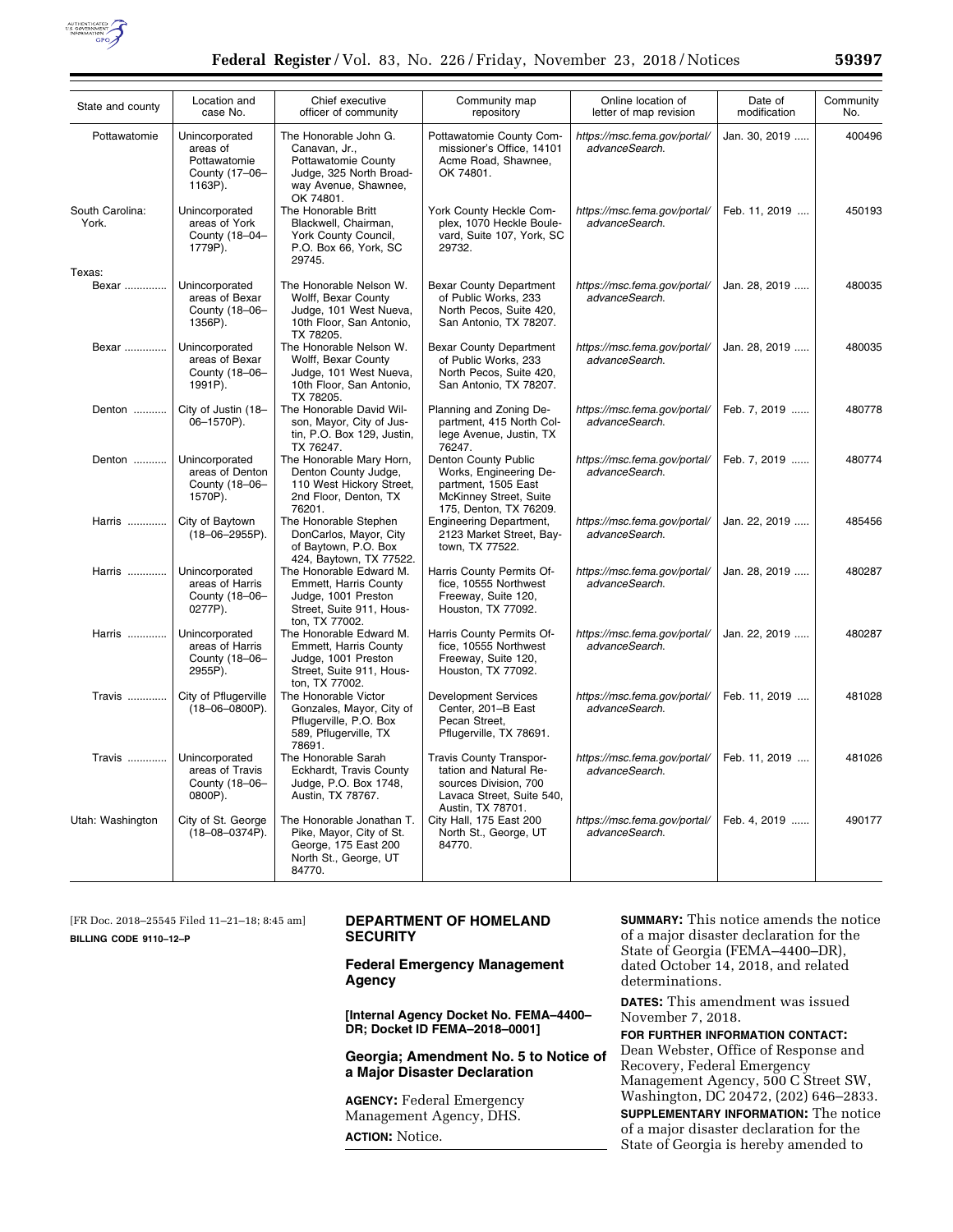

| State and county         | Location and<br>case No.                                                | Chief executive<br>officer of community                                                                                       | Community map<br>repository                                                                                                  | Online location of<br>letter of map revision   | Date of<br>modification | Community<br>No. |
|--------------------------|-------------------------------------------------------------------------|-------------------------------------------------------------------------------------------------------------------------------|------------------------------------------------------------------------------------------------------------------------------|------------------------------------------------|-------------------------|------------------|
| Pottawatomie             | Unincorporated<br>areas of<br>Pottawatomie<br>County (17-06-<br>1163P). | The Honorable John G.<br>Canavan, Jr.,<br>Pottawatomie County<br>Judge, 325 North Broad-<br>way Avenue, Shawnee,<br>OK 74801. | Pottawatomie County Com-<br>missioner's Office, 14101<br>Acme Road, Shawnee,<br>OK 74801.                                    | https://msc.fema.gov/portal/<br>advanceSearch. | Jan. 30, 2019           | 400496           |
| South Carolina:<br>York. | Unincorporated<br>areas of York<br>County (18-04-<br>1779P).            | The Honorable Britt<br>Blackwell, Chairman,<br>York County Council,<br>P.O. Box 66, York, SC<br>29745.                        | York County Heckle Com-<br>plex, 1070 Heckle Boule-<br>vard, Suite 107, York, SC<br>29732.                                   | https://msc.fema.gov/portal/<br>advanceSearch. | Feb. 11, 2019           | 450193           |
| Texas:                   |                                                                         |                                                                                                                               |                                                                                                                              |                                                |                         |                  |
| Bexar                    | Unincorporated<br>areas of Bexar<br>County (18-06-<br>1356P).           | The Honorable Nelson W.<br>Wolff, Bexar County<br>Judge, 101 West Nueva,<br>10th Floor, San Antonio,<br>TX 78205.             | <b>Bexar County Department</b><br>of Public Works, 233<br>North Pecos, Suite 420,<br>San Antonio, TX 78207.                  | https://msc.fema.gov/portal/<br>advanceSearch. | Jan. 28, 2019           | 480035           |
| Bexar                    | Unincorporated<br>areas of Bexar<br>County (18-06-<br>1991P).           | The Honorable Nelson W.<br>Wolff, Bexar County<br>Judge, 101 West Nueva,<br>10th Floor, San Antonio,<br>TX 78205.             | <b>Bexar County Department</b><br>of Public Works, 233<br>North Pecos, Suite 420,<br>San Antonio, TX 78207.                  | https://msc.fema.gov/portal/<br>advanceSearch. | Jan. 28, 2019           | 480035           |
| Denton                   | City of Justin (18-<br>06-1570P).                                       | The Honorable David Wil-<br>son, Mayor, City of Jus-<br>tin, P.O. Box 129, Justin,<br>TX 76247.                               | Planning and Zoning De-<br>partment, 415 North Col-<br>lege Avenue, Justin, TX<br>76247.                                     | https://msc.fema.gov/portal/<br>advanceSearch. | Feb. 7, 2019            | 480778           |
| Denton                   | Unincorporated<br>areas of Denton<br>County (18-06-<br>1570P).          | The Honorable Mary Horn,<br>Denton County Judge,<br>110 West Hickory Street,<br>2nd Floor, Denton, TX<br>76201.               | Denton County Public<br>Works, Engineering De-<br>partment, 1505 East<br>McKinney Street, Suite<br>175, Denton, TX 76209.    | https://msc.fema.gov/portal/<br>advanceSearch. | Feb. 7, 2019            | 480774           |
| Harris                   | City of Baytown<br>$(18 - 06 - 2955P)$ .                                | The Honorable Stephen<br>DonCarlos, Mayor, City<br>of Baytown, P.O. Box<br>424, Baytown, TX 77522.                            | <b>Engineering Department,</b><br>2123 Market Street, Bay-<br>town, TX 77522.                                                | https://msc.fema.gov/portal/<br>advanceSearch. | Jan. 22, 2019           | 485456           |
| Harris                   | Unincorporated<br>areas of Harris<br>County (18-06-<br>0277P).          | The Honorable Edward M.<br><b>Emmett. Harris County</b><br>Judge, 1001 Preston<br>Street, Suite 911, Hous-<br>ton. TX 77002.  | Harris County Permits Of-<br>fice. 10555 Northwest<br>Freeway, Suite 120,<br>Houston, TX 77092.                              | https://msc.fema.gov/portal/<br>advanceSearch. | Jan. 28. 2019           | 480287           |
| Harris                   | Unincorporated<br>areas of Harris<br>County (18-06-<br>2955P).          | The Honorable Edward M.<br>Emmett, Harris County<br>Judge, 1001 Preston<br>Street, Suite 911, Hous-<br>ton, TX 77002.         | Harris County Permits Of-<br>fice, 10555 Northwest<br>Freeway, Suite 120,<br>Houston, TX 77092.                              | https://msc.fema.gov/portal/<br>advanceSearch. | Jan. 22, 2019           | 480287           |
| <b>Travis </b>           | City of Pflugerville<br>$(18 - 06 - 0800P)$ .                           | The Honorable Victor<br>Gonzales, Mayor, City of<br>Pflugerville, P.O. Box<br>589. Pflugerville, TX<br>78691.                 | <b>Development Services</b><br>Center, 201-B East<br>Pecan Street,<br>Pflugerville, TX 78691.                                | https://msc.fema.gov/portal/<br>advanceSearch. | Feb. 11, 2019           | 481028           |
| Travis                   | Unincorporated<br>areas of Travis<br>County (18-06-<br>0800P).          | The Honorable Sarah<br>Eckhardt, Travis County<br>Judge, P.O. Box 1748,<br>Austin, TX 78767.                                  | Travis County Transpor-<br>tation and Natural Re-<br>sources Division, 700<br>Lavaca Street, Suite 540,<br>Austin, TX 78701. | https://msc.fema.gov/portal/<br>advanceSearch. | Feb. 11, 2019           | 481026           |
| Utah: Washington         | City of St. George<br>$(18 - 08 - 0374P)$ .                             | The Honorable Jonathan T.<br>Pike, Mayor, City of St.<br>George, 175 East 200<br>North St., George, UT<br>84770.              | City Hall, 175 East 200<br>North St., George, UT<br>84770.                                                                   | https://msc.fema.gov/portal/<br>advanceSearch. | Feb. 4, 2019            | 490177           |

[FR Doc. 2018–25545 Filed 11–21–18; 8:45 am] **BILLING CODE 9110–12–P** 

# **DEPARTMENT OF HOMELAND SECURITY**

**Federal Emergency Management Agency** 

**[Internal Agency Docket No. FEMA–4400– DR; Docket ID FEMA–2018–0001]** 

**Georgia; Amendment No. 5 to Notice of a Major Disaster Declaration** 

**AGENCY:** Federal Emergency Management Agency, DHS. **ACTION:** Notice.

**SUMMARY:** This notice amends the notice of a major disaster declaration for the State of Georgia (FEMA–4400–DR), dated October 14, 2018, and related determinations.

**DATES:** This amendment was issued November 7, 2018.

**FOR FURTHER INFORMATION CONTACT:**  Dean Webster, Office of Response and Recovery, Federal Emergency Management Agency, 500 C Street SW, Washington, DC 20472, (202) 646–2833.

**SUPPLEMENTARY INFORMATION:** The notice of a major disaster declaration for the State of Georgia is hereby amended to